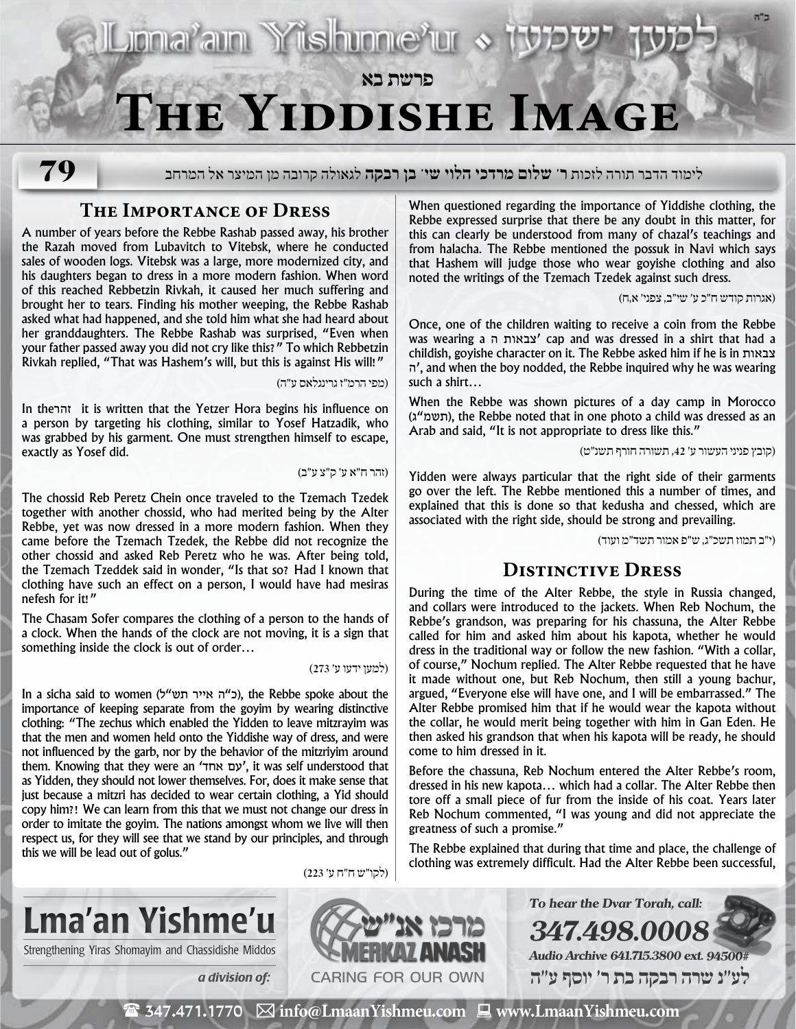

**79**

לימוד הדבר תורה לזכות **ר' שלום מרדכי הלוי שי' בן רבקה** לגאולה קרובה מן המיצר אל המרחב

### **The Importance of Dress**

A number of years before the Rebbe Rashab passed away, his brother the Razah moved from Lubavitch to Vitebsk, where he conducted sales of wooden logs. Vitebsk was a large, more modernized city, and his daughters began to dress in a more modern fashion. When word of this reached Rebbetzin Rivkah, it caused her much suffering and brought her to tears. Finding his mother weeping, the Rebbe Rashab asked what had happened, and she told him what she had heard about her granddaughters. The Rebbe Rashab was surprised, "Even when your father passed away you did not cry like this?" To which Rebbetzin Rivkah replied, "That was Hashem's will, but this is against His will!"

)מפי הרמ״ז גרינגלאס ע״ה(

In theזהר it is written that the Yetzer Hora begins his influence on a person by targeting his clothing, similar to Yosef Hatzadik, who was grabbed by his garment. One must strengthen himself to escape, exactly as Yosef did.

)זהר ח״א ע׳ ק״צ ע״ב(

The chossid Reb Peretz Chein once traveled to the Tzemach Tzedek together with another chossid, who had merited being by the Alter Rebbe, yet was now dressed in a more modern fashion. When they came before the Tzemach Tzedek, the Rebbe did not recognize the other chossid and asked Reb Peretz who he was. After being told, the Tzemach Tzeddek said in wonder, "Is that so? Had I known that clothing have such an effect on a person, I would have had mesiras nefesh for it!"

The Chasam Sofer compares the clothing of a person to the hands of a clock. When the hands of the clock are not moving, it is a sign that something inside the clock is out of order…

)למען ידעו ע׳ 273(

In a sicha said to women (כ״ה אייר תש"ל), the Rebbe spoke about the importance of keeping separate from the goyim by wearing distinctive clothing: "The zechus which enabled the Yidden to leave mitzrayim was that the men and women held onto the Yiddishe way of dress, and were not influenced by the garb, nor by the behavior of the mitzriyim around them. Knowing that they were an 'אחד עם', it was self understood that as Yidden, they should not lower themselves. For, does it make sense that just because a mitzri has decided to wear certain clothing, a Yid should copy him?! We can learn from this that we must not change our dress in order to imitate the goyim. The nations amongst whom we live will then respect us, for they will see that we stand by our principles, and through this we will be lead out of golus."

When questioned regarding the importance of Yiddishe clothing, the Rebbe expressed surprise that there be any doubt in this matter, for this can clearly be understood from many of chazal's teachings and from halacha. The Rebbe mentioned the possuk in Navi which says that Hashem will judge those who wear goyishe clothing and also noted the writings of the Tzemach Tzedek against such dress.

)אגרות קודש ח״כ ע׳ שי״ב, צפני׳ א,ח(

Once, one of the children waiting to receive a coin from the Rebbe was wearing a ה צבאות 'cap and was dressed in a shirt that had a childish, goyishe character on it. The Rebbe asked him if he is in צבאות ה', and when the boy nodded, the Rebbe inquired why he was wearing such a shirt…

When the Rebbe was shown pictures of a day camp in Morocco (תשמ"ג), the Rebbe noted that in one photo a child was dressed as an Arab and said, "It is not appropriate to dress like this."

)קובץ פניני העשור ע׳ ,42 תשורה חורף תשנ״ט(

Yidden were always particular that the right side of their garments go over the left. The Rebbe mentioned this a number of times, and explained that this is done so that kedusha and chessed, which are associated with the right side, should be strong and prevailing.

)י״ב תמוז תשכ״ג, ש״פ אמור תשד״מ ועוד(

# **Distinctive Dress**

During the time of the Alter Rebbe, the style in Russia changed, and collars were introduced to the jackets. When Reb Nochum, the Rebbe's grandson, was preparing for his chassuna, the Alter Rebbe called for him and asked him about his kapota, whether he would dress in the traditional way or follow the new fashion. "With a collar, of course," Nochum replied. The Alter Rebbe requested that he have it made without one, but Reb Nochum, then still a young bachur, argued, "Everyone else will have one, and I will be embarrassed." The Alter Rebbe promised him that if he would wear the kapota without the collar, he would merit being together with him in Gan Eden. He then asked his grandson that when his kapota will be ready, he should come to him dressed in it.

Before the chassuna, Reb Nochum entered the Alter Rebbe's room, dressed in his new kapota… which had a collar. The Alter Rebbe then tore off a small piece of fur from the inside of his coat. Years later Reb Nochum commented, "I was young and did not appreciate the greatness of such a promise."

The Rebbe explained that during that time and place, the challenge of clothing was extremely difficult. Had the Alter Rebbe been successful,

**To hear the Dvar Torah, call:**

**Audio Archive 641.715.3800 ext. 94500# לע"נ שרה רבקה בת ר׳ יוסף ע"ה**

**347.498.0008**



)לקו״ש ח״ח ע׳ 223(

 $\mathbf{\mathcal{F}}$  347.471.1770  $\boxtimes$  info@LmaanYishmeu.com  $\mathbf{\mathcal{F}}$  www.LmaanYishmeu.com